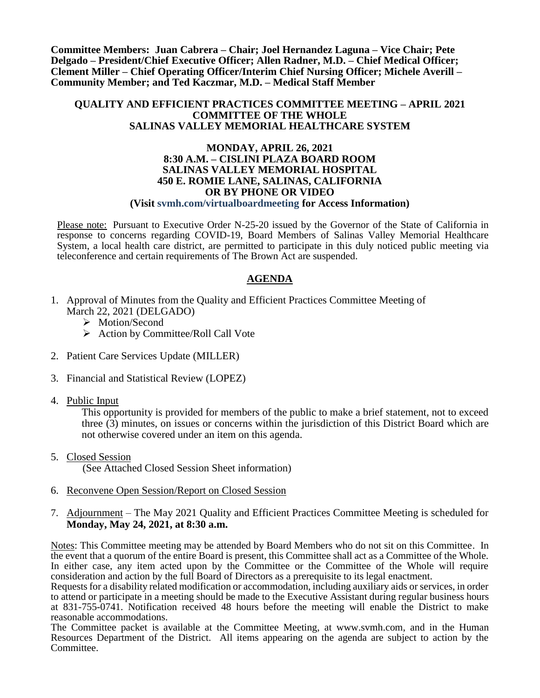**Committee Members: Juan Cabrera – Chair; Joel Hernandez Laguna – Vice Chair; Pete Delgado – President/Chief Executive Officer; Allen Radner, M.D. – Chief Medical Officer; Clement Miller – Chief Operating Officer/Interim Chief Nursing Officer; Michele Averill – Community Member; and Ted Kaczmar, M.D. – Medical Staff Member**

#### **QUALITY AND EFFICIENT PRACTICES COMMITTEE MEETING – APRIL 2021 COMMITTEE OF THE WHOLE SALINAS VALLEY MEMORIAL HEALTHCARE SYSTEM**

#### **MONDAY, APRIL 26, 2021 8:30 A.M. – CISLINI PLAZA BOARD ROOM SALINAS VALLEY MEMORIAL HOSPITAL 450 E. ROMIE LANE, SALINAS, CALIFORNIA OR BY PHONE OR VIDEO (Visit svmh.com/virtualboardmeeting for Access Information)**

Please note: Pursuant to Executive Order N-25-20 issued by the Governor of the State of California in response to concerns regarding COVID-19, Board Members of Salinas Valley Memorial Healthcare System, a local health care district, are permitted to participate in this duly noticed public meeting via teleconference and certain requirements of The Brown Act are suspended.

## **AGENDA**

- 1. Approval of Minutes from the Quality and Efficient Practices Committee Meeting of March 22, 2021 (DELGADO)
	- > Motion/Second
	- $\triangleright$  Action by Committee/Roll Call Vote
- 2. Patient Care Services Update (MILLER)
- 3. Financial and Statistical Review (LOPEZ)
- 4. Public Input

This opportunity is provided for members of the public to make a brief statement, not to exceed three (3) minutes, on issues or concerns within the jurisdiction of this District Board which are not otherwise covered under an item on this agenda.

- 5. Closed Session (See Attached Closed Session Sheet information)
- 6. Reconvene Open Session/Report on Closed Session
- 7. Adjournment The May 2021 Quality and Efficient Practices Committee Meeting is scheduled for **Monday, May 24, 2021, at 8:30 a.m.**

Notes: This Committee meeting may be attended by Board Members who do not sit on this Committee. In the event that a quorum of the entire Board is present, this Committee shall act as a Committee of the Whole. In either case, any item acted upon by the Committee or the Committee of the Whole will require consideration and action by the full Board of Directors as a prerequisite to its legal enactment.

Requests for a disability related modification or accommodation, including auxiliary aids or services, in order to attend or participate in a meeting should be made to the Executive Assistant during regular business hours at 831-755-0741. Notification received 48 hours before the meeting will enable the District to make reasonable accommodations.

The Committee packet is available at the Committee Meeting, at www.svmh.com, and in the Human Resources Department of the District. All items appearing on the agenda are subject to action by the Committee.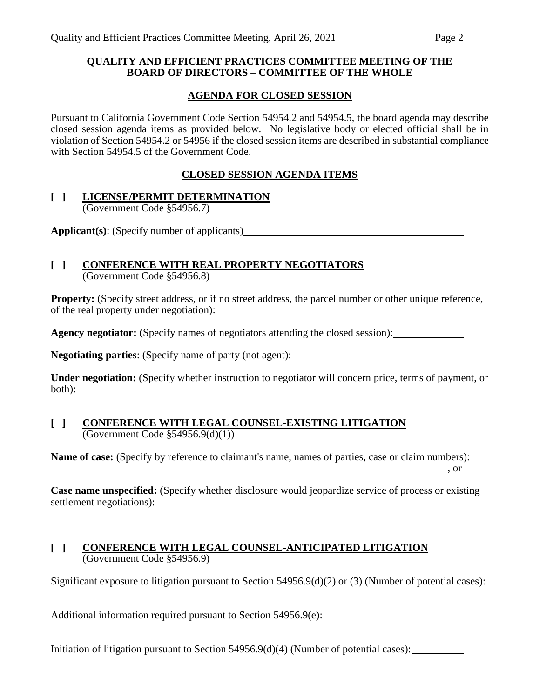## **QUALITY AND EFFICIENT PRACTICES COMMITTEE MEETING OF THE BOARD OF DIRECTORS – COMMITTEE OF THE WHOLE**

## **AGENDA FOR CLOSED SESSION**

Pursuant to California Government Code Section 54954.2 and 54954.5, the board agenda may describe closed session agenda items as provided below. No legislative body or elected official shall be in violation of Section 54954.2 or 54956 if the closed session items are described in substantial compliance with Section 54954.5 of the Government Code.

## **CLOSED SESSION AGENDA ITEMS**

### **[ ] LICENSE/PERMIT DETERMINATION** (Government Code §54956.7)

**Applicant(s)**: (Specify number of applicants)

# **[ ] CONFERENCE WITH REAL PROPERTY NEGOTIATORS**

(Government Code §54956.8)

**Property:** (Specify street address, or if no street address, the parcel number or other unique reference, of the real property under negotiation):

**Agency negotiator:** (Specify names of negotiators attending the closed session):

**Negotiating parties**: (Specify name of party (not agent):

**Under negotiation:** (Specify whether instruction to negotiator will concern price, terms of payment, or both): <u>with the contract of the contract of the contract of the contract of the contract of the contract of the contract of the contract of the contract of the contract of the contract of the contract of the contract of t</u>

#### **[ ] CONFERENCE WITH LEGAL COUNSEL-EXISTING LITIGATION**  $\overline{(Government Code \$  54956.9(d)(1))}

**Name of case:** (Specify by reference to claimant's name, names of parties, case or claim numbers):

**Case name unspecified:** (Specify whether disclosure would jeopardize service of process or existing settlement negotiations):

, or

### **[ ] CONFERENCE WITH LEGAL COUNSEL-ANTICIPATED LITIGATION** (Government Code §54956.9)

Significant exposure to litigation pursuant to Section 54956.9(d)(2) or (3) (Number of potential cases):

Additional information required pursuant to Section 54956.9(e):

Initiation of litigation pursuant to Section 54956.9(d)(4) (Number of potential cases):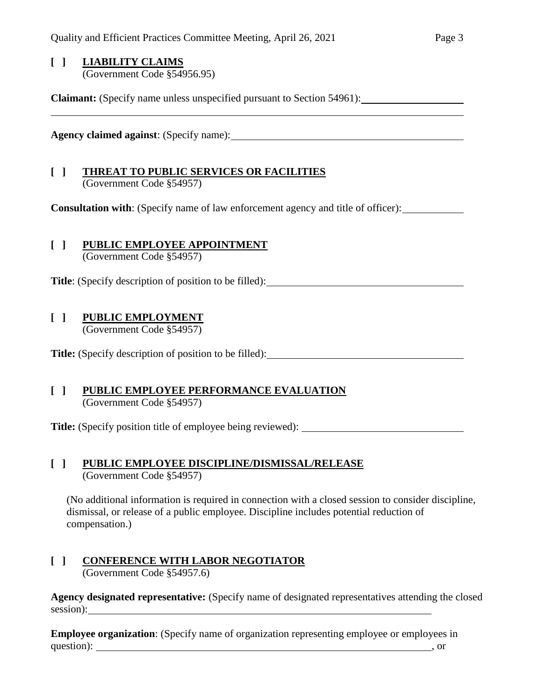### **[ ] LIABILITY CLAIMS** (Government Code §54956.95)

**Claimant:** (Specify name unless unspecified pursuant to Section 54961):

**Agency claimed against**: (Specify name):

## **[ ] THREAT TO PUBLIC SERVICES OR FACILITIES** (Government Code §54957)

**Consultation with**: (Specify name of law enforcement agency and title of officer):

# **[ ] PUBLIC EMPLOYEE APPOINTMENT**

(Government Code §54957)

Title: (Specify description of position to be filled):

## **[ ] PUBLIC EMPLOYMENT**

(Government Code §54957)

Title: (Specify description of position to be filled):

## **[ ] PUBLIC EMPLOYEE PERFORMANCE EVALUATION** (Government Code §54957)

**Title:** (Specify position title of employee being reviewed):

### **[ ] PUBLIC EMPLOYEE DISCIPLINE/DISMISSAL/RELEASE** (Government Code §54957)

(No additional information is required in connection with a closed session to consider discipline, dismissal, or release of a public employee. Discipline includes potential reduction of compensation.)

#### **[ ] CONFERENCE WITH LABOR NEGOTIATOR** (Government Code §54957.6)

**Agency designated representative:** (Specify name of designated representatives attending the closed session):

**Employee organization**: (Specify name of organization representing employee or employees in question): , or